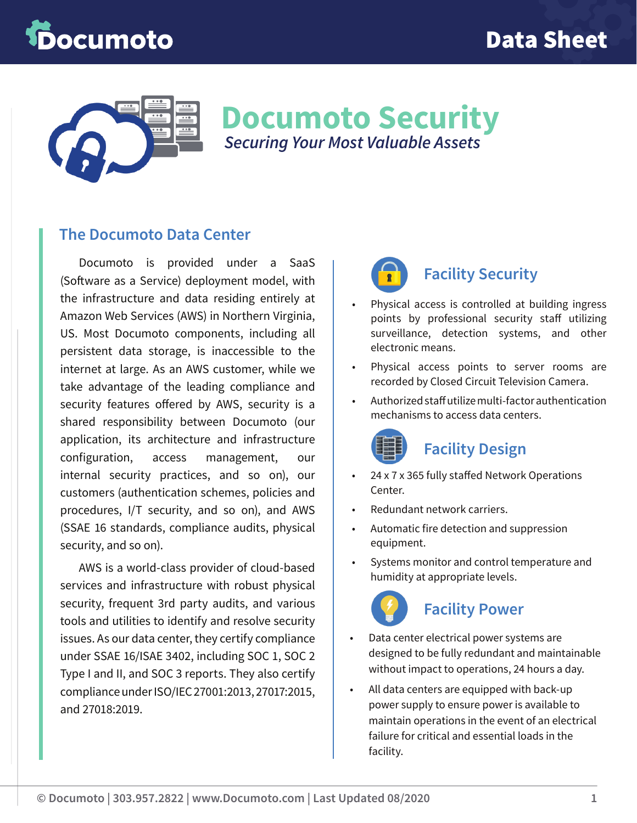# ocumoto



**Documoto Security** *Securing Your Most Valuable Assets*

#### **The Documoto Data Center**

Documoto is provided under a SaaS (Software as a Service) deployment model, with the infrastructure and data residing entirely at Amazon Web Services (AWS) in Northern Virginia, US. Most Documoto components, including all persistent data storage, is inaccessible to the internet at large. As an AWS customer, while we take advantage of the leading compliance and security features offered by AWS, security is a shared responsibility between Documoto (our application, its architecture and infrastructure configuration, access management, our internal security practices, and so on), our customers (authentication schemes, policies and procedures, I/T security, and so on), and AWS (SSAE 16 standards, compliance audits, physical security, and so on).

AWS is a world-class provider of cloud-based services and infrastructure with robust physical security, frequent 3rd party audits, and various tools and utilities to identify and resolve security issues. As our data center, they certify compliance under SSAE 16/ISAE 3402, including SOC 1, SOC 2 Type I and II, and SOC 3 reports. They also certify compliance under ISO/IEC 27001:2013, 27017:2015, and 27018:2019.



#### **Facility Security**

- Physical access is controlled at building ingress points by professional security staff utilizing surveillance, detection systems, and other electronic means.
- Physical access points to server rooms are recorded by Closed Circuit Television Camera.
- Authorized staff utilize multi-factor authentication mechanisms to access data centers.



### **Facility Design**

- 24 x 7 x 365 fully staffed Network Operations Center.
- Redundant network carriers.
- Automatic fire detection and suppression equipment.
- Systems monitor and control temperature and humidity at appropriate levels.



#### **Facility Power**

- Data center electrical power systems are designed to be fully redundant and maintainable without impact to operations, 24 hours a day.
- All data centers are equipped with back-up power supply to ensure power is available to maintain operations in the event of an electrical failure for critical and essential loads in the facility.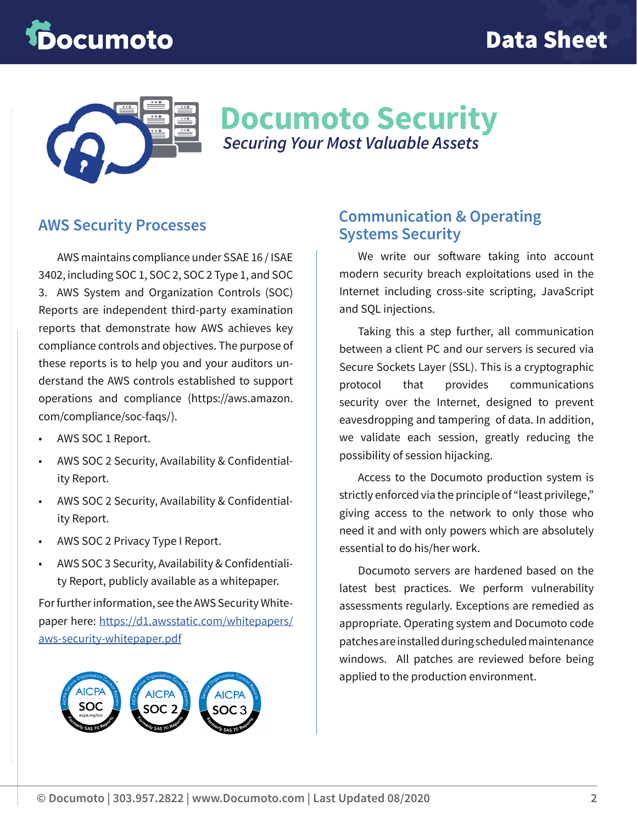# **pocumoto**



## **Documoto Security** *Securing Your Most Valuable Assets*

#### **AWS Security Processes**

AWS maintains compliance under SSAE 16 / ISAE 3402, including SOC 1, SOC 2, SOC 2 Type 1, and SOC 3. AWS System and Organization Controls (SOC) Reports are independent third-party examination reports that demonstrate how AWS achieves key compliance controls and objectives. The purpose of these reports is to help you and your auditors understand the AWS controls established to support operations and compliance (https://aws.amazon. com/compliance/soc-faqs/).

- AWS SOC 1 Report.
- AWS SOC 2 Security, Availability & Confidentiality Report.
- AWS SOC 2 Security, Availability & Confidentiality Report.
- AWS SOC 2 Privacy Type I Report.
- AWS SOC 3 Security, Availability & Confidentiality Report, publicly available as a whitepaper.

For further information, see the AWS Security Whitepaper here: [https://d1.awsstatic.com/whitepapers/](https://d1.awsstatic.com/whitepapers/aws-security-whitepaper.pdf) [aws-security-whitepaper.pdf](https://d1.awsstatic.com/whitepapers/aws-security-whitepaper.pdf)



#### **Communication & Operating Systems Security**

We write our software taking into account modern security breach exploitations used in the Internet including cross-site scripting, JavaScript and SQL injections.

Taking this a step further, all communication between a client PC and our servers is secured via Secure Sockets Layer (SSL). This is a cryptographic protocol that provides communications security over the Internet, designed to prevent eavesdropping and tampering of data. In addition, we validate each session, greatly reducing the possibility of session hijacking.

Access to the Documoto production system is strictly enforced via the principle of "least privilege," giving access to the network to only those who need it and with only powers which are absolutely essential to do his/her work.

Documoto servers are hardened based on the latest best practices. We perform vulnerability assessments regularly. Exceptions are remedied as appropriate. Operating system and Documoto code patches are installed during scheduled maintenance windows. All patches are reviewed before being applied to the production environment.